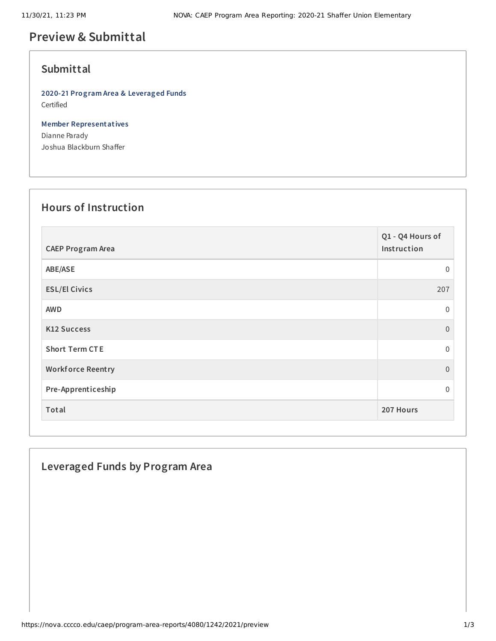# **Preview & Submittal**

### **Submittal**

**2020-21 Program Area & Leveraged Funds** Certified

**Member Representatives** Dianne Parady Joshua Blackburn Shaffer

#### **Hours of Instruction**

| <b>CAEP Program Area</b> | Q1 - Q4 Hours of<br>Instruction |
|--------------------------|---------------------------------|
| ABE/ASE                  | $\mathbf 0$                     |
| <b>ESL/El Civics</b>     | 207                             |
| <b>AWD</b>               | $\mathbf 0$                     |
| <b>K12 Success</b>       | $\overline{0}$                  |
| <b>Short Term CTE</b>    | $\Omega$                        |
| <b>Workforce Reentry</b> | $\overline{0}$                  |
| Pre-Apprenticeship       | $\Omega$                        |
| Total                    | 207 Hours                       |

### **Leveraged Funds by Program Area**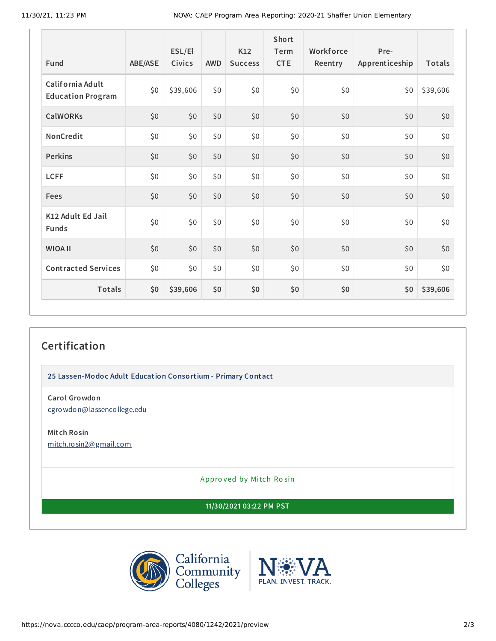| <b>Fund</b>                                  | ABE/ASE | ESL/El<br>Civics | <b>AWD</b> | K12<br><b>Success</b> | Short<br>Term<br><b>CTE</b> | Workforce<br>Reentry | Pre-<br>Apprenticeship | Totals   |
|----------------------------------------------|---------|------------------|------------|-----------------------|-----------------------------|----------------------|------------------------|----------|
| California Adult<br><b>Education Program</b> | \$0\$   | \$39,606         | \$0        | \$0                   | \$0                         | \$0                  | \$0                    | \$39,606 |
| <b>CalWORKs</b>                              | \$0\$   | \$0              | \$0        | \$0                   | \$0                         | \$0                  | \$0                    | \$0      |
| NonCredit                                    | \$0     | \$0              | \$0        | \$0                   | \$0                         | \$0                  | \$0                    | \$0      |
| <b>Perkins</b>                               | \$0     | \$0              | \$0        | \$0                   | \$0                         | \$0                  | \$0                    | \$0      |
| <b>LCFF</b>                                  | \$0\$   | \$0              | \$0        | \$0                   | \$0                         | \$0                  | \$0                    | \$0      |
| Fees                                         | \$0     | \$0              | \$0        | \$0                   | \$0                         | \$0                  | \$0                    | \$0      |
| K12 Adult Ed Jail<br><b>Funds</b>            | \$0     | \$0              | \$0        | \$0                   | \$0                         | \$0                  | \$0                    | \$0      |
| <b>WIOA II</b>                               | \$0     | \$0              | \$0        | \$0                   | \$0                         | \$0                  | \$0                    | \$0      |
| <b>Contracted Services</b>                   | \$0\$   | \$0\$            | \$0        | \$0                   | \$0                         | \$0                  | \$0                    | \$0      |
| <b>Totals</b>                                | \$0     | \$39,606         | \$0        | \$0                   | \$0                         | \$0                  | \$0                    | \$39,606 |

## **Certification**

**25 Lassen-Modoc Adult Education Consortium - Primary Contact**

**Carol Growdon** [cgrowdon@lassencollege.edu](mailto:cgrowdon@lassencollege.edu)

**Mitch Rosin** [mitch.rosin2@gmail.com](mailto:mitch.rosin2@gmail.com)

Appro ved by Mitch Ro sin

**11/30/2021 03:22 PM PST**